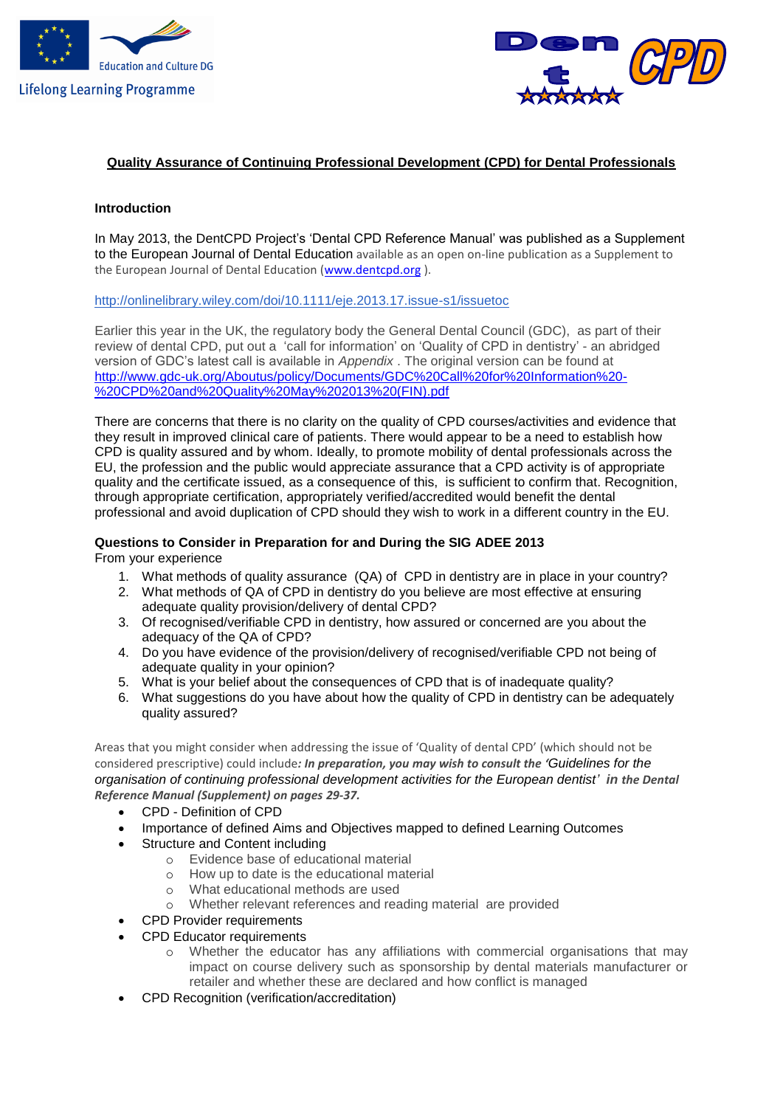



## **Quality Assurance of Continuing Professional Development (CPD) for Dental Professionals**

#### **Introduction**

In May 2013, the DentCPD Project's 'Dental CPD Reference Manual' was published as a Supplement to the European Journal of Dental Education available as an open on-line publication as a Supplement to the European Journal of Dental Education [\(www.dentcpd.org](http://www.dentcpd.org/)).

#### <http://onlinelibrary.wiley.com/doi/10.1111/eje.2013.17.issue-s1/issuetoc>

Earlier this year in the UK, the regulatory body the General Dental Council (GDC), as part of their review of dental CPD, put out a 'call for information' on 'Quality of CPD in dentistry' - an abridged version of GDC's latest call is available in *Appendix* . The original version can be found at [http://www.gdc-uk.org/Aboutus/policy/Documents/GDC%20Call%20for%20Information%20-](http://www.gdc-uk.org/Aboutus/policy/Documents/GDC%20Call%20for%20Information%20-%20CPD%20and%20Quality%20May%202013%20(FIN).pdf) [%20CPD%20and%20Quality%20May%202013%20\(FIN\).pdf](http://www.gdc-uk.org/Aboutus/policy/Documents/GDC%20Call%20for%20Information%20-%20CPD%20and%20Quality%20May%202013%20(FIN).pdf)

There are concerns that there is no clarity on the quality of CPD courses/activities and evidence that they result in improved clinical care of patients. There would appear to be a need to establish how CPD is quality assured and by whom. Ideally, to promote mobility of dental professionals across the EU, the profession and the public would appreciate assurance that a CPD activity is of appropriate quality and the certificate issued, as a consequence of this, is sufficient to confirm that. Recognition, through appropriate certification, appropriately verified/accredited would benefit the dental professional and avoid duplication of CPD should they wish to work in a different country in the EU.

#### **Questions to Consider in Preparation for and During the SIG ADEE 2013**

From your experience

- 1. What methods of quality assurance (QA) of CPD in dentistry are in place in your country?
- 2. What methods of QA of CPD in dentistry do you believe are most effective at ensuring adequate quality provision/delivery of dental CPD?
- 3. Of recognised/verifiable CPD in dentistry, how assured or concerned are you about the adequacy of the QA of CPD?
- 4. Do you have evidence of the provision/delivery of recognised/verifiable CPD not being of adequate quality in your opinion?
- 5. What is your belief about the consequences of CPD that is of inadequate quality?
- 6. What suggestions do you have about how the quality of CPD in dentistry can be adequately quality assured?

Areas that you might consider when addressing the issue of 'Quality of dental CPD' (which should not be considered prescriptive) could include*: In preparation, you may wish to consult the 'Guidelines for the organisation of continuing professional development activities for the European dentist' in the Dental Reference Manual (Supplement) on pages 29-37.*

- CPD Definition of CPD
- Importance of defined Aims and Objectives mapped to defined Learning Outcomes
- Structure and Content including
	- o Evidence base of educational material
	- o How up to date is the educational material
	- o What educational methods are used
	- o Whether relevant references and reading material are provided
- CPD Provider requirements
- CPD Educator requirements
	- Whether the educator has any affiliations with commercial organisations that may impact on course delivery such as sponsorship by dental materials manufacturer or retailer and whether these are declared and how conflict is managed
- CPD Recognition (verification/accreditation)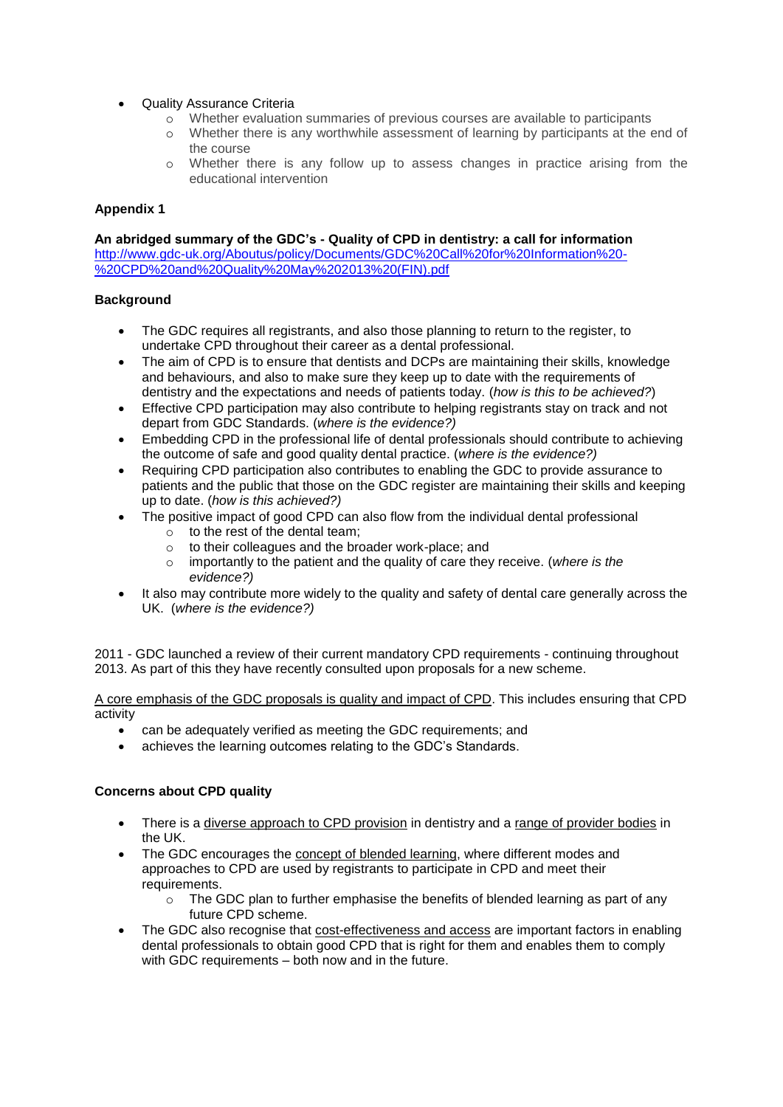- Quality Assurance Criteria
	- o Whether evaluation summaries of previous courses are available to participants
	- o Whether there is any worthwhile assessment of learning by participants at the end of the course
	- o Whether there is any follow up to assess changes in practice arising from the educational intervention

# **Appendix 1**

#### **An abridged summary of the GDC's - Quality of CPD in dentistry: a call for information**

[http://www.gdc-uk.org/Aboutus/policy/Documents/GDC%20Call%20for%20Information%20-](http://www.gdc-uk.org/Aboutus/policy/Documents/GDC%20Call%20for%20Information%20-%20CPD%20and%20Quality%20May%202013%20(FIN).pdf) [%20CPD%20and%20Quality%20May%202013%20\(FIN\).pdf](http://www.gdc-uk.org/Aboutus/policy/Documents/GDC%20Call%20for%20Information%20-%20CPD%20and%20Quality%20May%202013%20(FIN).pdf)

## **Background**

- The GDC requires all registrants, and also those planning to return to the register, to undertake CPD throughout their career as a dental professional.
- The aim of CPD is to ensure that dentists and DCPs are maintaining their skills, knowledge and behaviours, and also to make sure they keep up to date with the requirements of dentistry and the expectations and needs of patients today. (*how is this to be achieved?*)
- Effective CPD participation may also contribute to helping registrants stay on track and not depart from GDC Standards. (*where is the evidence?)*
- Embedding CPD in the professional life of dental professionals should contribute to achieving the outcome of safe and good quality dental practice. (*where is the evidence?)*
- Requiring CPD participation also contributes to enabling the GDC to provide assurance to patients and the public that those on the GDC register are maintaining their skills and keeping up to date. (*how is this achieved?)*
- The positive impact of good CPD can also flow from the individual dental professional
	- $\circ$  to the rest of the dental team:
	- o to their colleagues and the broader work-place; and
	- o importantly to the patient and the quality of care they receive. (*where is the evidence?)*
- It also may contribute more widely to the quality and safety of dental care generally across the UK. (*where is the evidence?)*

2011 - GDC launched a review of their current mandatory CPD requirements - continuing throughout 2013. As part of this they have recently consulted upon proposals for a new scheme.

#### A core emphasis of the GDC proposals is quality and impact of CPD. This includes ensuring that CPD activity

- can be adequately verified as meeting the GDC requirements; and
- achieves the learning outcomes relating to the GDC's Standards.

# **Concerns about CPD quality**

- There is a diverse approach to CPD provision in dentistry and a range of provider bodies in the UK.
- The GDC encourages the concept of blended learning, where different modes and approaches to CPD are used by registrants to participate in CPD and meet their requirements.
	- $\circ$  The GDC plan to further emphasise the benefits of blended learning as part of any future CPD scheme.
- The GDC also recognise that cost-effectiveness and access are important factors in enabling dental professionals to obtain good CPD that is right for them and enables them to comply with GDC requirements – both now and in the future.